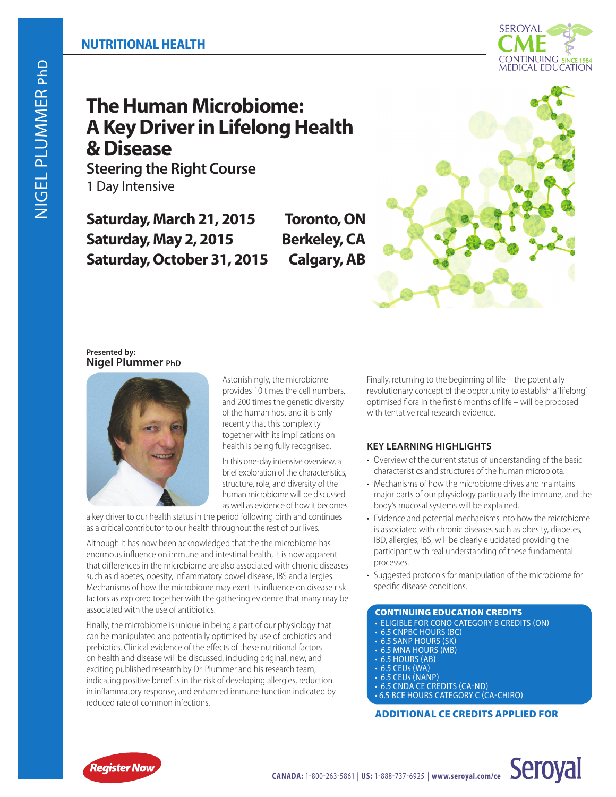# **The Human Microbiome: A Key Driver in Lifelong Health & Disease**

**Steering the Right Course** 1 Day Intensive

**Saturday, March 21, 2015 Toronto, ON Saturday, May 2, 2015 Berkeley, CA Saturday, October 31, 2015 Calgary, AB**



### **Presented by: Nigel Plummer PhD**



Astonishingly, the microbiome provides 10 times the cell numbers, and 200 times the genetic diversity of the human host and it is only recently that this complexity together with its implications on health is being fully recognised.

In this one-day intensive overview, a brief exploration of the characteristics, structure, role, and diversity of the human microbiome will be discussed as well as evidence of how it becomes

a key driver to our health status in the period following birth and continues as a critical contributor to our health throughout the rest of our lives.

Although it has now been acknowledged that the the microbiome has enormous influence on immune and intestinal health, it is now apparent that differences in the microbiome are also associated with chronic diseases such as diabetes, obesity, inflammatory bowel disease, IBS and allergies. Mechanisms of how the microbiome may exert its influence on disease risk factors as explored together with the gathering evidence that many may be associated with the use of antibiotics.

Finally, the microbiome is unique in being a part of our physiology that can be manipulated and potentially optimised by use of probiotics and prebiotics. Clinical evidence of the effects of these nutritional factors on health and disease will be discussed, including original, new, and exciting published research by Dr. Plummer and his research team, indicating positive benefits in the risk of developing allergies, reduction in inflammatory response, and enhanced immune function indicated by reduced rate of common infections.

Finally, returning to the beginning of life – the potentially revolutionary concept of the opportunity to establish a 'lifelong' optimised flora in the first 6 months of life – will be proposed with tentative real research evidence.

## **KEY LEARNING HIGHLIGHTS**

- Overview of the current status of understanding of the basic characteristics and structures of the human microbiota.
- Mechanisms of how the microbiome drives and maintains major parts of our physiology particularly the immune, and the body's mucosal systems will be explained.
- Evidence and potential mechanisms into how the microbiome is associated with chronic diseases such as obesity, diabetes, IBD, allergies, IBS, will be clearly elucidated providing the participant with real understanding of these fundamental processes.
- Suggested protocols for manipulation of the microbiome for specific disease conditions.

### CONTINUING EDUCATION CREDITS

- ELIGIBLE FOR CONO CATEGORY B CREDITS (ON)
- 6.5 CNPBC HOURS (BC)
- 6.5 SANP HOURS (SK)
- 6.5 MNA HOURS (MB)
- $\cdot$  6.5 HOURS (AB)<br> $\cdot$  6.5 CEUs (WA)
- 
- 
- 6.5 CEUs (WA)<br>• 6.5 CEUs (NANP)<br>• 6.5 CNDA CE CREDITS (CA-ND) • 6.5 BCE HOURS CATEGORY C (CA-CHIRO)

## ADDITIONAL CE CREDITS APPLIED FOR

**Seroyal**